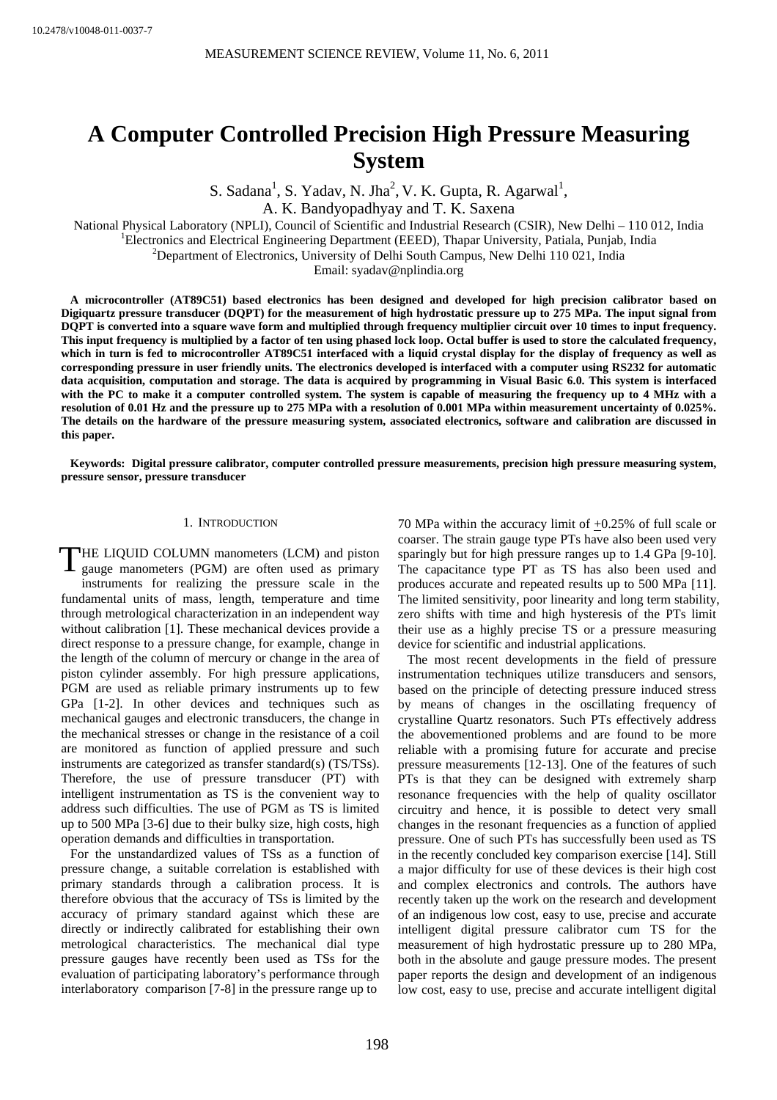# **A Computer Controlled Precision High Pressure Measuring System**

S. Sadana<sup>1</sup>, S. Yadav, N. Jha<sup>2</sup>, V. K. Gupta, R. Agarwal<sup>1</sup>,

A. K. Bandyopadhyay and T. K. Saxena

National Physical Laboratory (NPLI), Council of Scientific and Industrial Research (CSIR), New Delhi – 110 012, India 1

Electronics and Electrical Engineering Department (EEED), Thapar University, Patiala, Punjab, India 2

<sup>2</sup>Department of Electronics, University of Delhi South Campus, New Delhi 110 021, India

Email: syadav@nplindia.org

**A microcontroller (AT89C51) based electronics has been designed and developed for high precision calibrator based on Digiquartz pressure transducer (DQPT) for the measurement of high hydrostatic pressure up to 275 MPa. The input signal from DQPT is converted into a square wave form and multiplied through frequency multiplier circuit over 10 times to input frequency. This input frequency is multiplied by a factor of ten using phased lock loop. Octal buffer is used to store the calculated frequency, which in turn is fed to microcontroller AT89C51 interfaced with a liquid crystal display for the display of frequency as well as corresponding pressure in user friendly units. The electronics developed is interfaced with a computer using RS232 for automatic data acquisition, computation and storage. The data is acquired by programming in Visual Basic 6.0. This system is interfaced with the PC to make it a computer controlled system. The system is capable of measuring the frequency up to 4 MHz with a resolution of 0.01 Hz and the pressure up to 275 MPa with a resolution of 0.001 MPa within measurement uncertainty of 0.025%. The details on the hardware of the pressure measuring system, associated electronics, software and calibration are discussed in this paper.** 

**Keywords: Digital pressure calibrator, computer controlled pressure measurements, precision high pressure measuring system, pressure sensor, pressure transducer** 

#### 1. INTRODUCTION

THE LIQUID COLUMN manometers (LCM) and piston<br>gauge manometers (PGM) are often used as primary gauge manometers (PGM) are often used as primary instruments for realizing the pressure scale in the fundamental units of mass, length, temperature and time through metrological characterization in an independent way without calibration [1]. These mechanical devices provide a direct response to a pressure change, for example, change in the length of the column of mercury or change in the area of piston cylinder assembly. For high pressure applications, PGM are used as reliable primary instruments up to few GPa [1-2]. In other devices and techniques such as mechanical gauges and electronic transducers, the change in the mechanical stresses or change in the resistance of a coil are monitored as function of applied pressure and such instruments are categorized as transfer standard(s) (TS/TSs). Therefore, the use of pressure transducer (PT) with intelligent instrumentation as TS is the convenient way to address such difficulties. The use of PGM as TS is limited up to 500 MPa [3-6] due to their bulky size, high costs, high operation demands and difficulties in transportation.

For the unstandardized values of TSs as a function of pressure change, a suitable correlation is established with primary standards through a calibration process. It is therefore obvious that the accuracy of TSs is limited by the accuracy of primary standard against which these are directly or indirectly calibrated for establishing their own metrological characteristics. The mechanical dial type pressure gauges have recently been used as TSs for the evaluation of participating laboratory's performance through interlaboratory comparison [7-8] in the pressure range up to

70 MPa within the accuracy limit of +0.25% of full scale or coarser. The strain gauge type PTs have also been used very sparingly but for high pressure ranges up to 1.4 GPa [9-10]. The capacitance type PT as TS has also been used and produces accurate and repeated results up to 500 MPa [11]. The limited sensitivity, poor linearity and long term stability, zero shifts with time and high hysteresis of the PTs limit their use as a highly precise TS or a pressure measuring device for scientific and industrial applications.

The most recent developments in the field of pressure instrumentation techniques utilize transducers and sensors, based on the principle of detecting pressure induced stress by means of changes in the oscillating frequency of crystalline Quartz resonators. Such PTs effectively address the abovementioned problems and are found to be more reliable with a promising future for accurate and precise pressure measurements [12-13]. One of the features of such PTs is that they can be designed with extremely sharp resonance frequencies with the help of quality oscillator circuitry and hence, it is possible to detect very small changes in the resonant frequencies as a function of applied pressure. One of such PTs has successfully been used as TS in the recently concluded key comparison exercise [14]. Still a major difficulty for use of these devices is their high cost and complex electronics and controls. The authors have recently taken up the work on the research and development of an indigenous low cost, easy to use, precise and accurate intelligent digital pressure calibrator cum TS for the measurement of high hydrostatic pressure up to 280 MPa, both in the absolute and gauge pressure modes. The present paper reports the design and development of an indigenous low cost, easy to use, precise and accurate intelligent digital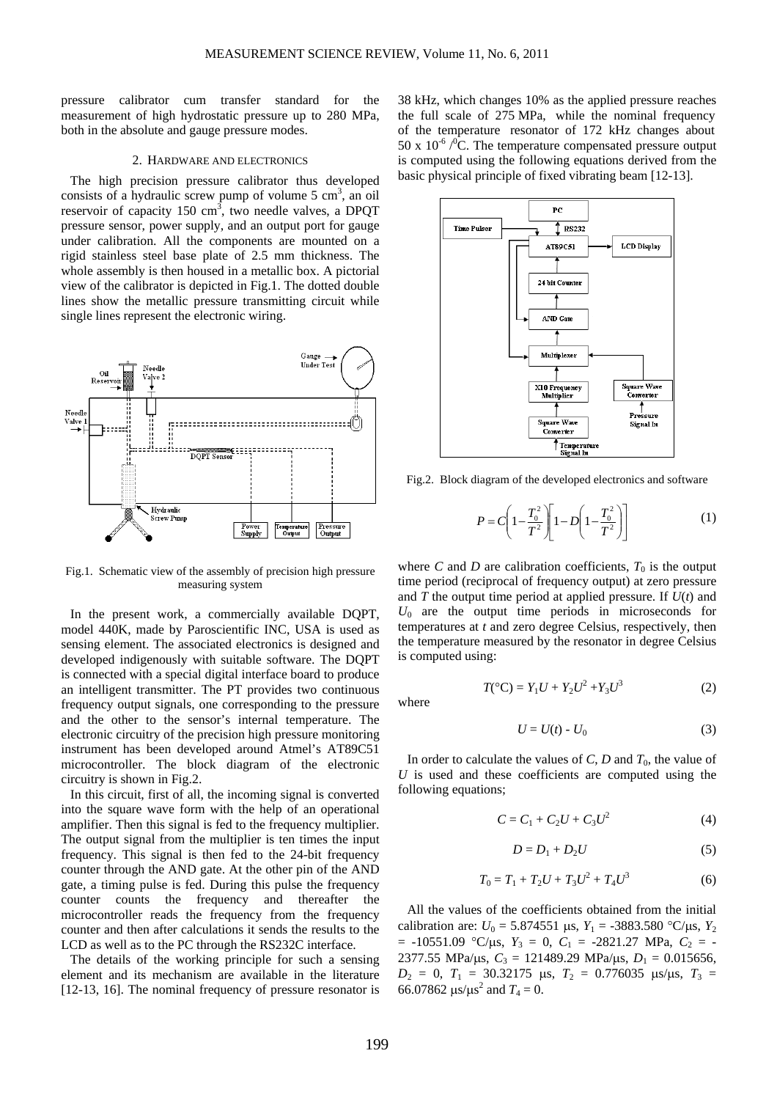pressure calibrator cum transfer standard for the measurement of high hydrostatic pressure up to 280 MPa, both in the absolute and gauge pressure modes.

#### 2. HARDWARE AND ELECTRONICS

The high precision pressure calibrator thus developed consists of a hydraulic screw pump of volume 5 cm<sup>3</sup>, an oil reservoir of capacity 150 cm<sup>3</sup>, two needle valves, a DPQT pressure sensor, power supply, and an output port for gauge under calibration. All the components are mounted on a rigid stainless steel base plate of 2.5 mm thickness. The whole assembly is then housed in a metallic box. A pictorial view of the calibrator is depicted in Fig.1. The dotted double lines show the metallic pressure transmitting circuit while single lines represent the electronic wiring.



Fig.1. Schematic view of the assembly of precision high pressure measuring system

In the present work, a commercially available DQPT, model 440K, made by Paroscientific INC, USA is used as sensing element. The associated electronics is designed and developed indigenously with suitable software. The DQPT is connected with a special digital interface board to produce an intelligent transmitter. The PT provides two continuous frequency output signals, one corresponding to the pressure and the other to the sensor's internal temperature. The electronic circuitry of the precision high pressure monitoring instrument has been developed around Atmel's AT89C51 microcontroller. The block diagram of the electronic circuitry is shown in Fig.2.

In this circuit, first of all, the incoming signal is converted into the square wave form with the help of an operational amplifier. Then this signal is fed to the frequency multiplier. The output signal from the multiplier is ten times the input frequency. This signal is then fed to the 24-bit frequency counter through the AND gate. At the other pin of the AND gate, a timing pulse is fed. During this pulse the frequency counter counts the frequency and thereafter the microcontroller reads the frequency from the frequency counter and then after calculations it sends the results to the LCD as well as to the PC through the RS232C interface.

The details of the working principle for such a sensing element and its mechanism are available in the literature [12-13, 16]. The nominal frequency of pressure resonator is

38 kHz, which changes 10% as the applied pressure reaches the full scale of 275 MPa, while the nominal frequency of the temperature resonator of 172 kHz changes about 50 x  $10^{-6}$  / $^{\circ}$ C. The temperature compensated pressure output is computed using the following equations derived from the basic physical principle of fixed vibrating beam [12-13].



Fig.2. Block diagram of the developed electronics and software

$$
P = C \left( 1 - \frac{T_0^2}{T^2} \right) \left[ 1 - D \left( 1 - \frac{T_0^2}{T^2} \right) \right]
$$
 (1)

where *C* and *D* are calibration coefficients,  $T_0$  is the output time period (reciprocal of frequency output) at zero pressure and *T* the output time period at applied pressure. If *U*(*t*) and  $U_0$  are the output time periods in microseconds for temperatures at *t* and zero degree Celsius, respectively, then the temperature measured by the resonator in degree Celsius is computed using:

where

$$
T({}^{\circ}C) = Y_1U + Y_2U^2 + Y_3U^3
$$
 (2)

$$
U = U(t) - U_0 \tag{3}
$$

In order to calculate the values of  $C$ ,  $D$  and  $T_0$ , the value of *U* is used and these coefficients are computed using the following equations;

$$
C = C_1 + C_2 U + C_3 U^2 \tag{4}
$$

$$
D = D_1 + D_2 U \tag{5}
$$

$$
T_0 = T_1 + T_2 U + T_3 U^2 + T_4 U^3 \tag{6}
$$

All the values of the coefficients obtained from the initial calibration are:  $U_0 = 5.874551 \text{ }\mu\text{s}, Y_1 = -3883.580 \text{ °C/}\mu\text{s}, Y_2$  $= -10551.09$  °C/ $\mu$ s,  $Y_3 = 0$ ,  $C_1 = -2821.27$  MPa,  $C_2 = -$ 2377.55 MPa/μs,  $C_3 = 121489.29$  MPa/μs,  $D_1 = 0.015656$ , *D*<sub>2</sub> = 0, *T*<sub>1</sub> = 30.32175 μs, *T*<sub>2</sub> = 0.776035 μs/μs, *T*<sub>3</sub> = 66.07862  $\mu s / \mu s^2$  and  $T_4 = 0$ .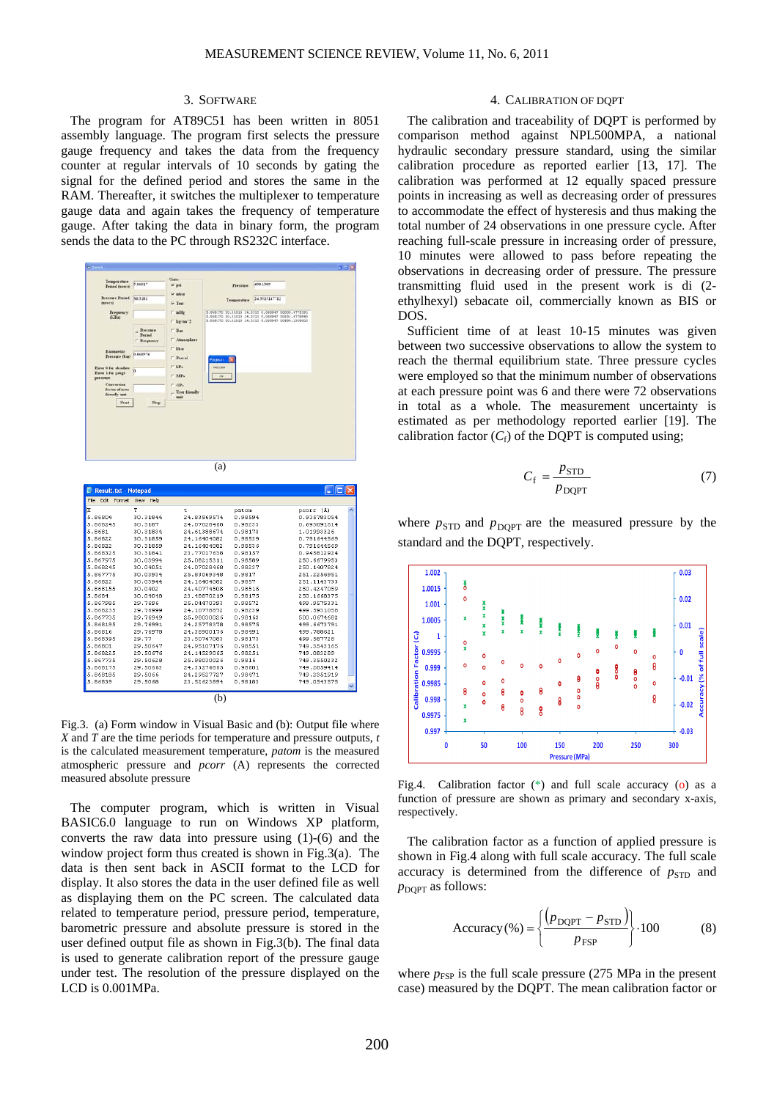### 3. SOFTWARE

The program for AT89C51 has been written in 8051 assembly language. The program first selects the pressure gauge frequency and takes the data from the frequency counter at regular intervals of 10 seconds by gating the signal for the defined period and stores the same in the RAM. Thereafter, it switches the multiplexer to temperature gauge data and again takes the frequency of temperature gauge. After taking the data in binary form, the program sends the data to the PC through RS232C interface.



| File<br>Edit<br>Format | View<br>Help |             |         |              |  |
|------------------------|--------------|-------------|---------|--------------|--|
| k                      | т            | t           | patom   | pcorr (A)    |  |
| 5.86804                | 30.31844     | 24.83869574 | 0.98594 | 0.935783054  |  |
| 5.868245               | 30.3187      | 24.07028468 | 0.98233 | 0.693091614  |  |
| 5.8681                 | 30.31834     | 24.61388674 | 0.98173 | 1.01993326   |  |
| 5.86822                | 30.31859     | 24.16404082 | 0.98539 | 0.791644569  |  |
| 5.86822                | 30.31859     | 24.16404082 | 0.98536 | 0.791644569  |  |
| 5.868325               | 30.31841     | 23.77017638 | 0.98157 | 0.945812924  |  |
| 5.867975               | 30.03994     | 25.08215311 | 0.98589 | 250.6679953  |  |
| 5.868245               | 30.04051     | 24.07028468 | 0.98237 | 250.1407824  |  |
| 5.867775               | 30.03934     | 25.83069348 | 0.9817  | 251.2256951  |  |
| 5.86822                | 30.03944     | 24.16404082 | 0.9857  | 251.1143733  |  |
| 5.868155               | 30.0402      | 24.40774508 | 0.98515 | 2.50.4247059 |  |
| 5.8684                 | 30.04048     | 23.48870219 | 0.98175 | 250.1668375  |  |
| 5.867985               | 29.7696      | 25.04470393 | 0.98572 | 499.9575331  |  |
| 5.868235               | 29.76999     | 24.10778872 | 0.98239 | 499.5931058  |  |
| 5.867735               | 29.76949     | 25.98030026 | 0.98163 | 500.0674682  |  |
| 5.868195               | 29.76991     | 24.25778378 | 0.98575 | 499.6673791  |  |
| 5.86816                | 29.76978     | 24.38900176 | 0.98491 | 499.788621   |  |
| 5.868395               | 29.77        | 23.50747083 | 0.98173 | 499.587728   |  |
| 5.86801                | 29.50647     | 24.95107176 | 0.98551 | 749.3543165  |  |
| 5.868225               | 29.50676     | 24.14529065 | 0.98251 | 749.083289   |  |
| 5.867735               | 29.50628     | 25.98030026 | 0.9816  | 749.3550232  |  |
| 5.868175               | 29.50663     | 24.33276865 | 0.98601 | 749.2059414  |  |
| 5.868185               | 29.5066      | 24.29527727 | 0.98471 | 749.2351919  |  |
| 5.86839                | 29.5068      | 23.52623894 | 0.98183 | 749.0543575  |  |
| b.                     |              |             |         |              |  |

Fig.3. (a) Form window in Visual Basic and (b): Output file where *X* and *T* are the time periods for temperature and pressure outputs, *t* is the calculated measurement temperature, *patom* is the measured atmospheric pressure and *pcorr* (A) represents the corrected measured absolute pressure

The computer program, which is written in Visual BASIC6.0 language to run on Windows XP platform, converts the raw data into pressure using (1)-(6) and the window project form thus created is shown in Fig.3(a). The data is then sent back in ASCII format to the LCD for display. It also stores the data in the user defined file as well as displaying them on the PC screen. The calculated data related to temperature period, pressure period, temperature, barometric pressure and absolute pressure is stored in the user defined output file as shown in Fig.3(b). The final data is used to generate calibration report of the pressure gauge under test. The resolution of the pressure displayed on the LCD is 0.001MPa.

## 4. CALIBRATION OF DQPT

The calibration and traceability of DQPT is performed by comparison method against NPL500MPA, a national hydraulic secondary pressure standard, using the similar calibration procedure as reported earlier [13, 17]. The calibration was performed at 12 equally spaced pressure points in increasing as well as decreasing order of pressures to accommodate the effect of hysteresis and thus making the total number of 24 observations in one pressure cycle. After reaching full-scale pressure in increasing order of pressure, 10 minutes were allowed to pass before repeating the observations in decreasing order of pressure. The pressure transmitting fluid used in the present work is di (2 ethylhexyl) sebacate oil, commercially known as BIS or DOS.

Sufficient time of at least 10-15 minutes was given between two successive observations to allow the system to reach the thermal equilibrium state. Three pressure cycles were employed so that the minimum number of observations at each pressure point was 6 and there were 72 observations in total as a whole. The measurement uncertainty is estimated as per methodology reported earlier [19]. The calibration factor  $(C_f)$  of the DQPT is computed using;

$$
C_{\rm f} = \frac{p_{\rm STD}}{p_{\rm DQPT}}\tag{7}
$$

where  $p_{\text{STD}}$  and  $p_{\text{DOPT}}$  are the measured pressure by the standard and the DQPT, respectively.



Fig.4. Calibration factor (\*) and full scale accuracy (o) as a function of pressure are shown as primary and secondary x-axis, respectively.

The calibration factor as a function of applied pressure is shown in Fig.4 along with full scale accuracy. The full scale accuracy is determined from the difference of  $p_{\text{STD}}$  and  $p_{\text{DOPT}}$  as follows:

$$
Accuracy (\% ) = \left\{ \frac{\left(p_{DQPT} - p_{STD}\right)}{p_{FSP}}\right\} \cdot 100\tag{8}
$$

where  $p_{\text{FSP}}$  is the full scale pressure (275 MPa in the present case) measured by the DQPT. The mean calibration factor or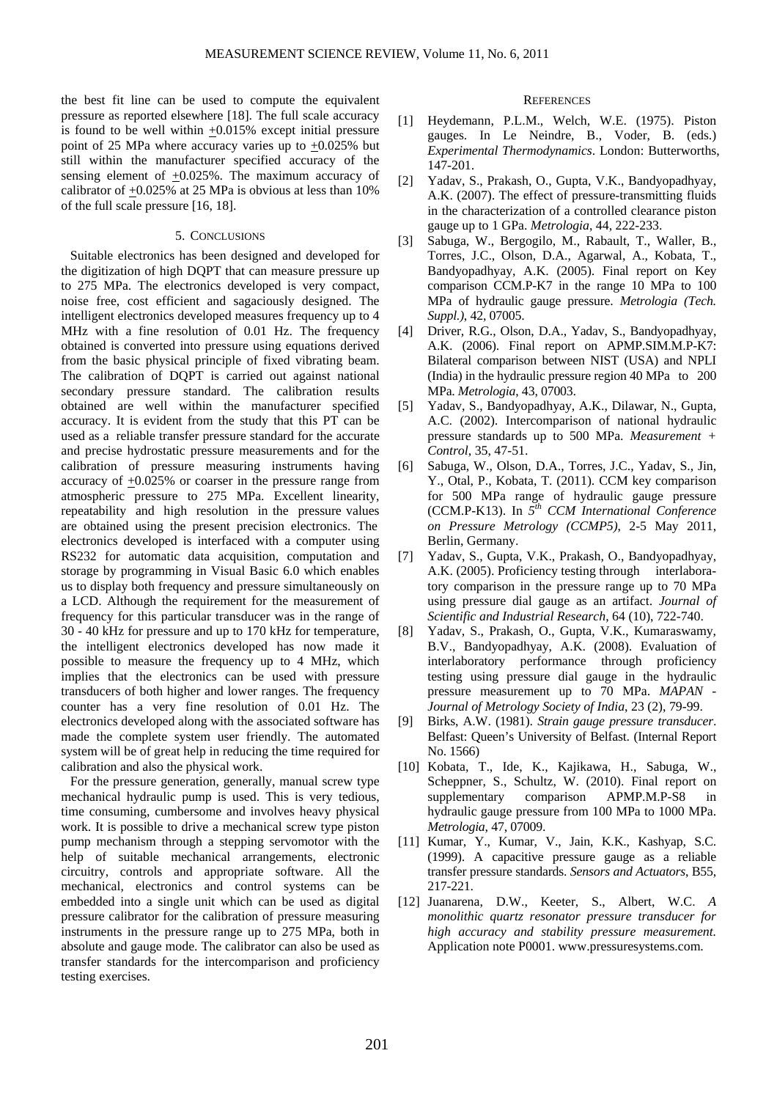the best fit line can be used to compute the equivalent pressure as reported elsewhere [18]. The full scale accuracy is found to be well within  $\pm 0.015\%$  except initial pressure point of 25 MPa where accuracy varies up to  $\pm 0.025$ % but still within the manufacturer specified accuracy of the sensing element of +0.025%. The maximum accuracy of calibrator of +0.025% at 25 MPa is obvious at less than 10% of the full scale pressure [16, 18].

# 5. CONCLUSIONS

Suitable electronics has been designed and developed for the digitization of high DQPT that can measure pressure up to 275 MPa. The electronics developed is very compact, noise free, cost efficient and sagaciously designed. The intelligent electronics developed measures frequency up to 4 MHz with a fine resolution of 0.01 Hz. The frequency obtained is converted into pressure using equations derived from the basic physical principle of fixed vibrating beam. The calibration of DQPT is carried out against national secondary pressure standard. The calibration results obtained are well within the manufacturer specified accuracy. It is evident from the study that this PT can be used as a reliable transfer pressure standard for the accurate and precise hydrostatic pressure measurements and for the calibration of pressure measuring instruments having accuracy of +0.025% or coarser in the pressure range from atmospheric pressure to 275 MPa. Excellent linearity, repeatability and high resolution in the pressure values are obtained using the present precision electronics. The electronics developed is interfaced with a computer using RS232 for automatic data acquisition, computation and storage by programming in Visual Basic 6.0 which enables us to display both frequency and pressure simultaneously on a LCD. Although the requirement for the measurement of frequency for this particular transducer was in the range of 30 - 40 kHz for pressure and up to 170 kHz for temperature, the intelligent electronics developed has now made it possible to measure the frequency up to 4 MHz, which implies that the electronics can be used with pressure transducers of both higher and lower ranges. The frequency counter has a very fine resolution of 0.01 Hz. The electronics developed along with the associated software has made the complete system user friendly. The automated system will be of great help in reducing the time required for calibration and also the physical work.

For the pressure generation, generally, manual screw type mechanical hydraulic pump is used. This is very tedious, time consuming, cumbersome and involves heavy physical work. It is possible to drive a mechanical screw type piston pump mechanism through a stepping servomotor with the help of suitable mechanical arrangements, electronic circuitry, controls and appropriate software. All the mechanical, electronics and control systems can be embedded into a single unit which can be used as digital pressure calibrator for the calibration of pressure measuring instruments in the pressure range up to 275 MPa, both in absolute and gauge mode. The calibrator can also be used as transfer standards for the intercomparison and proficiency testing exercises.

#### **REFERENCES**

- [1] Heydemann, P.L.M., Welch, W.E. (1975). Piston gauges. In Le Neindre, B., Voder, B. (eds.) *Experimental Thermodynamics*. London: Butterworths, 147-201.
- [2] Yadav, S., Prakash, O., Gupta, V.K., Bandyopadhyay, A.K. (2007). The effect of pressure-transmitting fluids in the characterization of a controlled clearance piston gauge up to 1 GPa. *Metrologia*, 44, 222-233.
- [3] Sabuga, W., Bergogilo, M., Rabault, T., Waller, B., Torres, J.C., Olson, D.A., Agarwal, A., Kobata, T., Bandyopadhyay, A.K. (2005). Final report on Key comparison CCM.P-K7 in the range 10 MPa to 100 MPa of hydraulic gauge pressure. *Metrologia (Tech. Suppl.)*, 42, 07005.
- [4] Driver, R.G., Olson, D.A., Yadav, S., Bandyopadhyay, A.K. (2006). Final report on APMP.SIM.M.P-K7: Bilateral comparison between NIST (USA) and NPLI (India) in the hydraulic pressure region 40 MPa to 200 MPa. *Metrologia*, 43, 07003.
- [5] Yadav, S., Bandyopadhyay, A.K., Dilawar, N., Gupta, A.C. (2002). Intercomparison of national hydraulic pressure standards up to 500 MPa. *Measurement + Control*, 35, 47-51.
- [6] Sabuga, W., Olson, D.A., Torres, J.C., Yadav, S., Jin, Y., Otal, P., Kobata, T. (2011). CCM key comparison for 500 MPa range of hydraulic gauge pressure (CCM.P-K13). In *5th CCM International Conference on Pressure Metrology (CCMP5)*, 2-5 May 2011, Berlin, Germany.
- [7] Yadav, S., Gupta, V.K., Prakash, O., Bandyopadhyay, A.K. (2005). Proficiency testing through interlaboratory comparison in the pressure range up to 70 MPa using pressure dial gauge as an artifact. *Journal of Scientific and Industrial Research*, 64 (10), 722-740.
- [8] Yadav, S., Prakash, O., Gupta, V.K., Kumaraswamy, B.V., Bandyopadhyay, A.K. (2008). Evaluation of interlaboratory performance through proficiency testing using pressure dial gauge in the hydraulic pressure measurement up to 70 MPa. *MAPAN - Journal of Metrology Society of India*, 23 (2), 79-99.
- [9] Birks, A.W. (1981). *Strain gauge pressure transducer*. Belfast: Queen's University of Belfast. (Internal Report No. 1566)
- [10] Kobata, T., Ide, K., Kajikawa, H., Sabuga, W., Scheppner, S., Schultz, W. (2010). Final report on supplementary comparison APMP.M.P-S8 in hydraulic gauge pressure from 100 MPa to 1000 MPa. *Metrologia*, 47, 07009.
- [11] Kumar, Y., Kumar, V., Jain, K.K., Kashyap, S.C. (1999). A capacitive pressure gauge as a reliable transfer pressure standards. *Sensors and Actuators*, B55, 217-221.
- [12] Juanarena, D.W., Keeter, S., Albert, W.C. *A monolithic quartz resonator pressure transducer for high accuracy and stability pressure measurement.*  Application note P0001. www.pressuresystems.com.